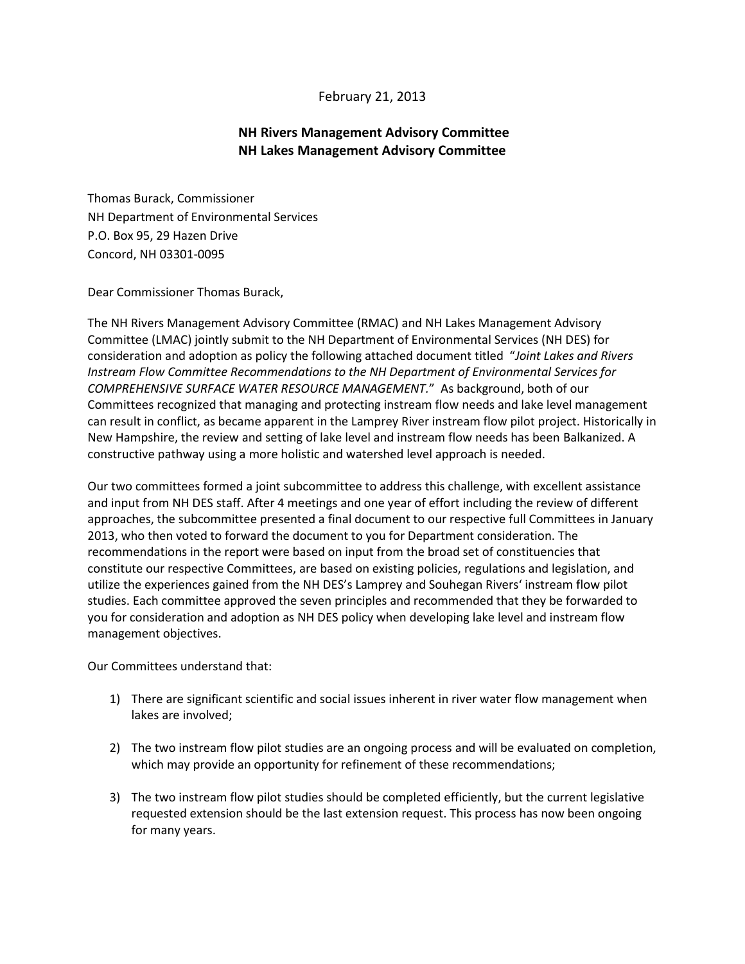## February 21, 2013

## **NH Rivers Management Advisory Committee NH Lakes Management Advisory Committee**

Thomas Burack, Commissioner NH Department of Environmental Services P.O. Box 95, 29 Hazen Drive Concord, NH 03301-0095

Dear Commissioner Thomas Burack,

The NH Rivers Management Advisory Committee (RMAC) and NH Lakes Management Advisory Committee (LMAC) jointly submit to the NH Department of Environmental Services (NH DES) for consideration and adoption as policy the following attached document titled "*Joint Lakes and Rivers Instream Flow Committee Recommendations to the NH Department of Environmental Services for COMPREHENSIVE SURFACE WATER RESOURCE MANAGEMENT.*" As background, both of our Committees recognized that managing and protecting instream flow needs and lake level management can result in conflict, as became apparent in the Lamprey River instream flow pilot project. Historically in New Hampshire, the review and setting of lake level and instream flow needs has been Balkanized. A constructive pathway using a more holistic and watershed level approach is needed.

Our two committees formed a joint subcommittee to address this challenge, with excellent assistance and input from NH DES staff. After 4 meetings and one year of effort including the review of different approaches, the subcommittee presented a final document to our respective full Committees in January 2013, who then voted to forward the document to you for Department consideration. The recommendations in the report were based on input from the broad set of constituencies that constitute our respective Committees, are based on existing policies, regulations and legislation, and utilize the experiences gained from the NH DES's Lamprey and Souhegan Rivers' instream flow pilot studies. Each committee approved the seven principles and recommended that they be forwarded to you for consideration and adoption as NH DES policy when developing lake level and instream flow management objectives.

Our Committees understand that:

- 1) There are significant scientific and social issues inherent in river water flow management when lakes are involved;
- 2) The two instream flow pilot studies are an ongoing process and will be evaluated on completion, which may provide an opportunity for refinement of these recommendations;
- 3) The two instream flow pilot studies should be completed efficiently, but the current legislative requested extension should be the last extension request. This process has now been ongoing for many years.